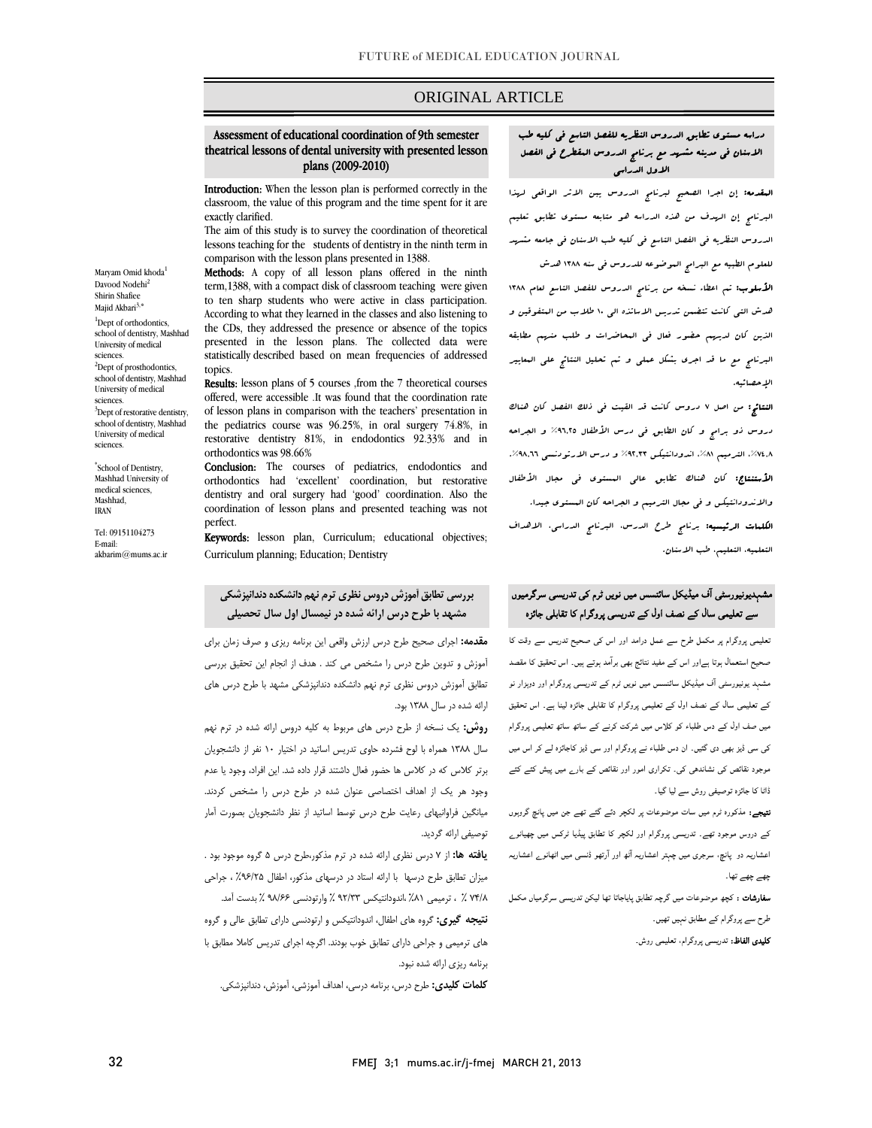## ORIGINAL ARTICLE

## Assessment of educational coordination of 9th semester theatrical lessons of dental university with presented lesson plans (2009-2010)

i

 Introduction: When the lesson plan is performed correctly in the classroom, the value of this program and the time spent for it are exactly clarified.

exactly claritied.<br>The aim of this study is to survey the coordination of theoretical lessons teaching for the students of dentistry in the ninth term in comparison with the lesson plans presented in 1388.

 Methods: A copy of all lesson plans offered in the ninth to ten sharp students who were active in class participation. According to what they learned in the classes and also listening to presented in the lesson plans. The collected data were statistically described based on mean frequencies of addressed term,1388, with a compact disk of classroom teaching were given the CDs, they addressed the presence or absence of the topics topics.

ropics.<br>**Results:** lesson plans of 5 courses ,from the 7 theoretical courses offered, were accessible .It was found that the coordination rate of lesson plans in comparison with the teachers' presentation in restorative dentistry 81%, in endodontics 92.33% and in the pediatrics course was 96.25%, in oral surgery 74.8%, in orthodontics was 98.66%

 Conclusion: The courses of pediatrics, endodontics and dentistry and oral surgery had 'good' coordination. Also the coordination of lesson plans and presented teaching was not orthodontics had 'excellent' coordination, but restorative perfect.

penect.<br>**Keywords:** lesson plan, Curriculum; educational objectives; Curriculum planning; Education; Dentistry

## **بررسي تطابق آموزش دروس نظري ترم نهم دانشكدهدندانپزشكي مشهد با طرح درس ارائه شده در نيمسال اول سال تحصيلي**

 **مقدمه:** اجراي صحيح طرح درس ارزش واقعي اين برنامه ريزي و صرف زمان براي آموزش و تدوين طرح درس را مشخص مي كند . هدف از انجام اين تحقيق بررسي تطابق آموزش دروس نظري ترم نهم دانشكده دندانپزشكي مشهد با طرح درس هاي ارائه شده در سال 1388 بود.

 **روش:** يك نسخه از طرح درس هاي مربوط به كليه دروس ارائه شده در ترم نهم .<br>سال ۱۳۸۸ همراه با لوح فشرده حاوی تدريس اساتيد در اختيار ۱۰ نفر از دانشجويان برتر كلاس كه در كلاس ها حضور فعال داشتند قرار داده شد. اين افراد، وجود يا عدم وجود هر يك از اهداف اختصاصي عنوان شده در طرح درس را مشخص كردند. ميانگين فراوانيهاي رعايت طرح درس توسط اساتيد از نظر دانشجويان بصورت آمار توصيفي ارائه گرديد.

 **يافته ها:** از 7 درس نظري ارائه شده در ترم مذكور،طرح درس 5 گروه موجود بود . ميزان تطابق طرح درسها با ارائه استاد در درسهاي مذكور، اطفال %96/25 ، جراحي 74/8 % ، ترميمي %81 ،اندودانتيكس 92/33 % وارتودنسي 98/66 % بدست آمد.

 **نتيجه گيري:** گروه هاي اطفال، اندودانتيكس و ارتودنسي داراي تطابق عالي و گروه هاي ترميمي و جراحي داراي تطابق خوب بودند. اگرچه اجراي تدريس كاملا مطابق با برنامه ريزي ارائه شده نبود.

**كلمات كليدي:** طرح درس، برنامه درسي، اهداف آموزشي، آموزش، دندانپزشكي.

### دراسه مستوي تطابق الدروس النظريه للفصل التاسع في كليه طب الاسنان في مدينه مشهد مع برنامج الدروس المقطرح في الفصل الاول الدراسي

֚֞

**المقدمه:** إن اجرا الصحيح لبرنامج الدروس يبن الاثر الواقعى لهذا البرنامج إن الهدف من هذه الدراسه هو متابعه مستوي تطابق تعليم الدروس النظريه في الفصل التاسع في كليه طب الاسنان في جامعه مشهد للعلوم الطبيه مع البرامج الموضوعه للدروس في سنه 1388 هدش **الأسلوب:** تم اعطاء نسخه من برنامج الدروس للفصل التاسع لعام ١٣٨٨<br>. هدش التي كانت تتضمن تدريس الاساتذه الي 10 طلاب من المتفوقين و الذين كان لديهم حضور فعال في المحاضرات و طلب منهم مطابقه البرنامج مع ما قد اجري بشكل عملي و تم تحليل النتائج علي المعايير الإحصائيه.

 النتائج: من اصل 7 دروس كانت قد القيت في ذلك الفصل كان هناك دروس ذو برامج و كان الطابق في درس الأطفال %96,25 و الجراحه ۰%۲%، الترميم ۸۱%، اندودانتيكس ۹۲٫۳۳% و درس الارتودنسي ۹۸٫۶٦%. **الأستنتاج:** كان هناك تطابق عال<sub>ى</sub> المستوى ف<sub>ى</sub> مجال الأطفال<br>. والاندودانتيكس و في مجال الترميم و الجراحه كان المستوي جيدا. **الكلمات الرئيسيه:** برنام<sub>ج</sub> طرح الدرس، البرنامج الدراسي، الاهداف التعلميه، التعليم، طب الاسنان.

## مشہدیونیورسٹی آف میڈیکل سائنسس میں نویں ٹرم کی تدریسی سرگرمیوں j سے تعلیمی سال کے نصف اول کے تدریسی پروگرام کا تقابلی جائزہ

 تعلیمی پروگرام پر مکمل طرح سے عمل درامد اور اس کی صحیح تدریس سے وقت کا صحیح استعمال ہوتا ہےاور اس کے مفید نتائج بھی برآمد ہوتے ہیں۔ اس تحقیق کا مقصد مشہد یونیورسٹی آف میڈیکل سائنسس میں نویں ٹرم کے تدریسی پروگرام اور دوہزار نو کے تعلیمی سال کے نصف اول کے تعلیمی پروگرام کا تقابلی جائزہ لینا ہے۔ اس تحقیق میں صف اول کے دس طلباء کو کلاس میں شرکت کرنے کے ساتھ ساتھ تعلیمی پروگرام کی سی ڈیز بھی دی گئيں۔ ان دس طلباء نے پروگرام اور سی ڈیز کاجائزہ لے کر اس میں موجود نقائص کی نشاندھی کی۔ تکراری امور اور نقائص کے بارے میں پیش کئے کئے ڈاٹا کا جائزہ توصیفی روش سے لیا گيا۔

 نتیجے: مذکورہ ٹرم میں سات موضوعات پر لکچر دئے گئے تھے جن میں پانچ گروہوں کے دروس موجود تھے۔ تدریسی پروگرام اور لکچر کا تطابق پیڈیا ٹرکس میں چھیانوے اعشاریہ دو پانچ، سرجری میں چہتر اعشاریہ آٹھ اور آرتھو ڈنسی میں اٹھانوے اعشاریہ چھے چھے تھا۔

 سفارشات : کچھ موضوعات میں گرچہ تطابق پایاجاتا تھا لیکن تدریسی سرگرمیاں مکمل طرح سے پروگرام کے مطابق نہیں تھیں۔

**کلیدی الفاظ:** تدریسی پروگرام، تعلیمی روش۔<br>.

Shirin Shafiee Majid Akbari $3,^\circ$ <sup>1</sup>Dept of orthodontics, school of dentistry, Mashhad University of medical sciences. <sup>2</sup>Dept of prosthodontics, school of dentistry, Mashhad University of medical sciences. <sup>3</sup>Dept of restorative dentistry, school of dentistry, Mashhad University of medical sciences.

Maryam Omid khoda<sup>1</sup> Davood Nodehi<sup>2</sup>

\* School of Dentistry, Mashhad University of medical sciences, Mashhad, IRAN

Tel: 09151104273 E-mail: akbarim $@$ mums ac ir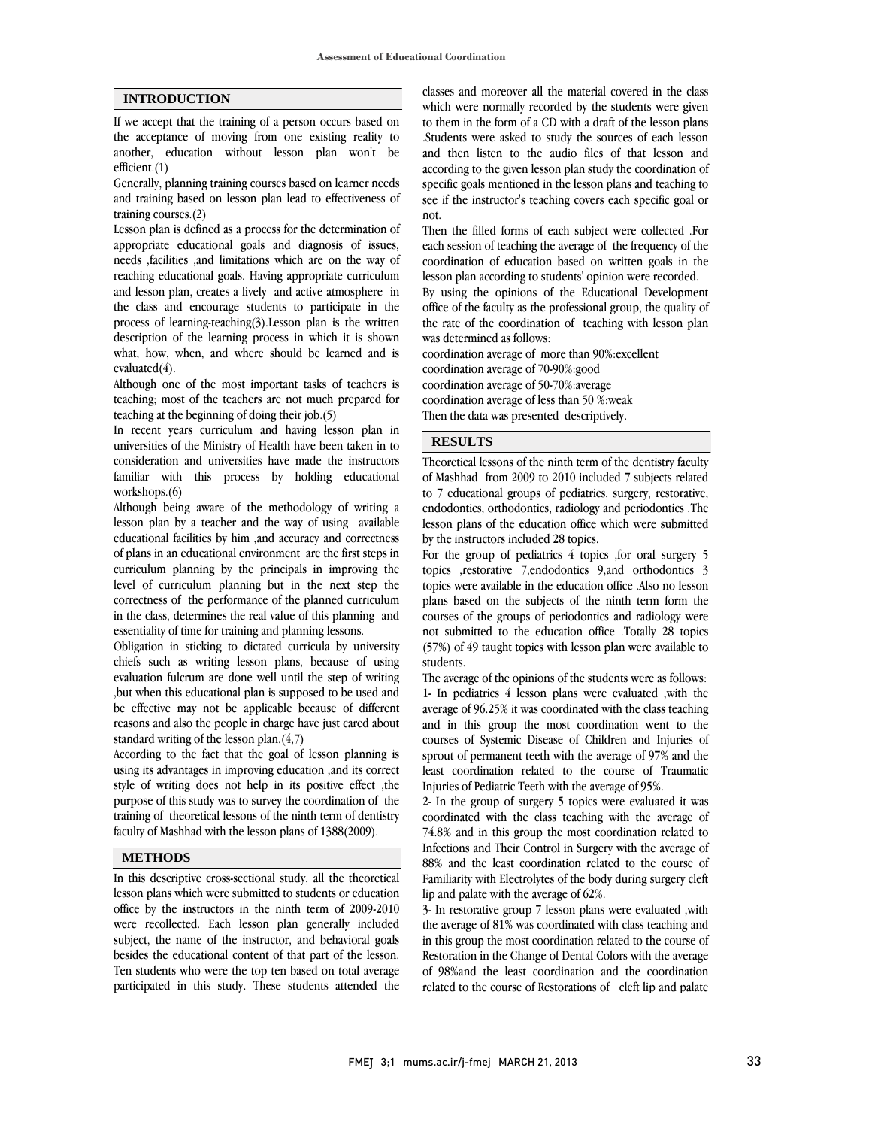#### **INTRODUCTION**

If we accept that the training of a person occurs based on the acceptance of moving from one existing reality to another, education without lesson plan won't be efficient.(1)

Generally, planning training courses based on learner needs and training based on lesson plan lead to effectiveness of training courses.(2)

Lesson plan is defined as a process for the determination of appropriate educational goals and diagnosis of issues, needs ,facilities ,and limitations which are on the way of reaching educational goals. Having appropriate curriculum and lesson plan, creates a lively and active atmosphere in the class and encourage students to participate in the process of learning-teaching(3).Lesson plan is the written description of the learning process in which it is shown what, how, when, and where should be learned and is evaluated(4).

Although one of the most important tasks of teachers is teaching; most of the teachers are not much prepared for teaching at the beginning of doing their job.(5)

In recent years curriculum and having lesson plan in universities of the Ministry of Health have been taken in to consideration and universities have made the instructors familiar with this process by holding educational workshops.(6)

Although being aware of the methodology of writing a lesson plan by a teacher and the way of using available educational facilities by him ,and accuracy and correctness of plans in an educational environment are the first steps in curriculum planning by the principals in improving the level of curriculum planning but in the next step the correctness of the performance of the planned curriculum in the class, determines the real value of this planning and essentiality of time for training and planning lessons.

Obligation in sticking to dictated curricula by university chiefs such as writing lesson plans, because of using evaluation fulcrum are done well until the step of writing ,but when this educational plan is supposed to be used and be effective may not be applicable because of different reasons and also the people in charge have just cared about standard writing of the lesson plan.(4,7)

According to the fact that the goal of lesson planning is using its advantages in improving education ,and its correct style of writing does not help in its positive effect ,the purpose of this study was to survey the coordination of the training of theoretical lessons of the ninth term of dentistry faculty of Mashhad with the lesson plans of 1388(2009).

#### **METHODS**

In this descriptive cross-sectional study, all the theoretical lesson plans which were submitted to students or education office by the instructors in the ninth term of 2009-2010 were recollected. Each lesson plan generally included subject, the name of the instructor, and behavioral goals besides the educational content of that part of the lesson. Ten students who were the top ten based on total average participated in this study. These students attended the

 classes and moreover all the material covered in the class which were normally recorded by the students were given to them in the form of a CD with a draft of the lesson plans .Students were asked to study the sources of each lesson according to the given lesson plan study the coordination of specific goals mentioned in the lesson plans and teaching to see if the instructor's teaching covers each specific goal or and then listen to the audio files of that lesson and not.

 Then the filled forms of each subject were collected .For each session of teaching the average of the frequency of the coordination of education based on written goals in the lesson plan according to students' opinion were recorded. By using the opinions of the Educational Development the rate of the coordination of teaching with lesson plan office of the faculty as the professional group, the quality of

 was determined as follows: coordination average of more than 90%:excellent coordination average of 70-90%:good coordination average of less than 50 %:weak Then the data was presented descriptively. coordination average of 50-70%:average

# **RESULTS**

Theoretical lessons of the ninth term of the dentistry faculty of Mashhad from 2009 to 2010 included 7 subjects related to 7 educational groups of pediatrics, surgery, restorative, endodontics, orthodontics, radiology and periodontics .The lesson plans of the education office which were submitted by the instructors included 28 topics.

 For the group of pediatrics 4 topics ,for oral surgery 5 topics ,restorative 7,endodontics 9,and orthodontics 3 topics were available in the education office .Also no lesson plans based on the subjects of the ninth term form the not submitted to the education office .Totally 28 topics (57%) of 49 taught topics with lesson plan were available to students. courses of the groups of periodontics and radiology were

 The average of the opinions of the students were as follows: average of 96.25% it was coordinated with the class teaching and in this group the most coordination went to the courses of Systemic Disease of Children and Injuries of sprout of permanent teeth with the average of 97% and the Injuries of Pediatric Teeth with the average of 95%. 1- In pediatrics 4 lesson plans were evaluated ,with the least coordination related to the course of Traumatic

 2- In the group of surgery 5 topics were evaluated it was coordinated with the class teaching with the average of 74.8% and in this group the most coordination related to  $88\%$  and the least coordination related to the course of Familiarity with Electrolytes of the body during surgery cleft lip and palate with the average of 62%. Infections and Their Control in Surgery with the average of

 3- In restorative group 7 lesson plans were evaluated ,with in this group the most coordination related to the course of Restoration in the Change of Dental Colors with the average of 98%and the least coordination and the coordination related to the course of Restorations of cleft lip and palate the average of 81% was coordinated with class teaching and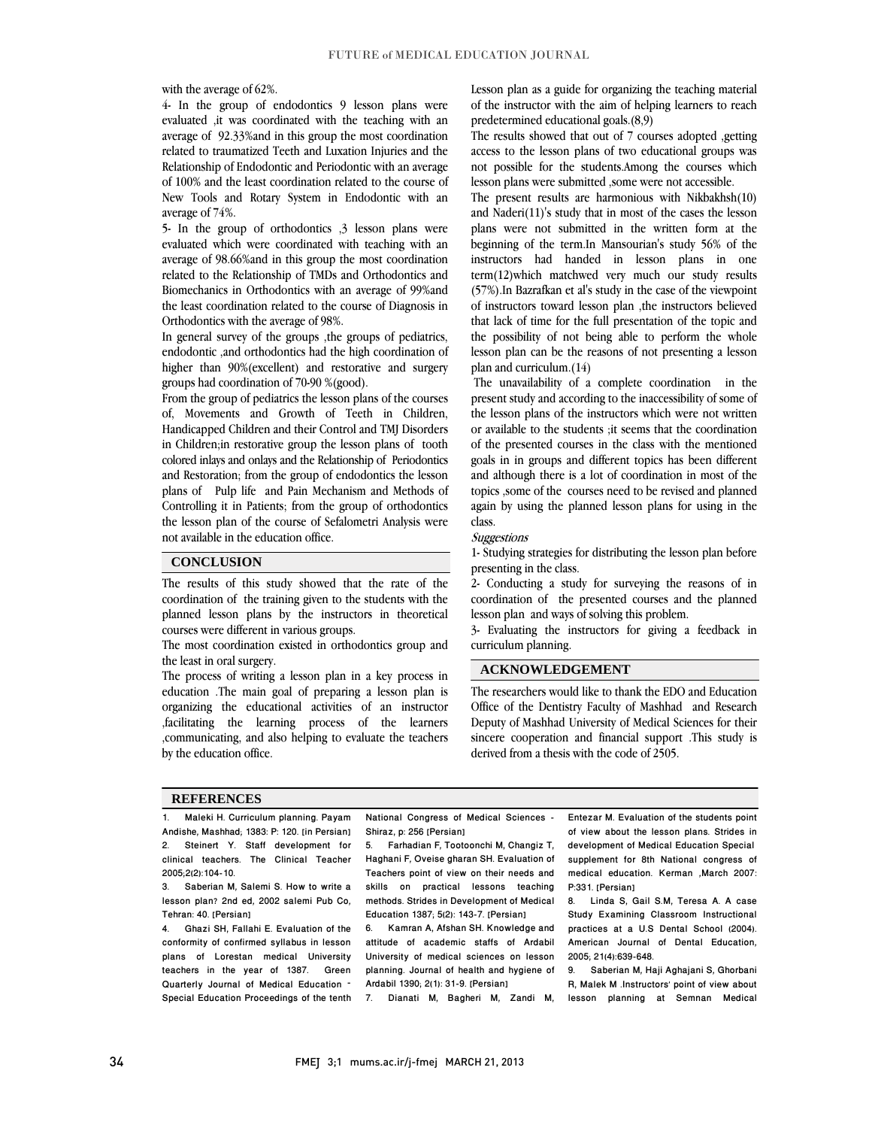with the average of 62%.

 4- In the group of endodontics 9 lesson plans were evaluated ,it was coordinated with the teaching with an average of 52.55% and in this group the most coordination<br>related to traumatized Teeth and Luxation Injuries and the Relationship of Endodontic and Periodontic with an average of 100% and the least coordination related to the course of New Tools and Rotary System in Endodontic with an average of 92.33%and in this group the most coordination average of 74%.

average of 74.0.<br>5- In the group of orthodontics ,3 lesson plans were evaluated which were coordinated with teaching with an average of 98.66%and in this group the most coordination related to the Relationship of TMDs and Orthodontics and the least coordination related to the course of Diagnosis in Biomechanics in Orthodontics with an average of 99%and Orthodontics with the average of 98%.

 In general survey of the groups ,the groups of pediatrics, endodontic ,and orthodontics had the high coordination of higher than 90%(excellent) and restorative and surgery groups had coordination of 70-90 %(good).

 From the group of pediatrics the lesson plans of the courses of, Movements and Growth of Teeth in Children, Handicapped Children and their Control and TMJ Disorders colored inlays and onlays and the Relationship of Periodontics and Restoration; from the group of endodontics the lesson plans of Pulp life and Pain Mechanism and Methods of Controlling it in Patients; from the group of orthodontics the lesson plan of the course of Sefalometri Analysis were  $\overline{a}$ in Children;in restorative group the lesson plans of tooth not available in the education office.

#### **CONCLUSION**

 The results of this study showed that the rate of the coordination of the training given to the students with the planned lesson plans by the instructors in theoretical courses were different in various groups.

 $\overline{\phantom{a}}$ 

 The most coordination existed in orthodontics group and the least in oral surgery.

the least in oral surgery.<br>The process of writing a lesson plan in a key process in education .The main goal of preparing a lesson plan is organizing the educational activities of an instructor ,facilitating the learning process of the learners ,communicating, and also helping to evaluate the teachers by the education office.

 Lesson plan as a guide for organizing the teaching material of the instructor with the aim of helping learners to reach predetermined educational goals.(8,9)

 access to the lesson plans of two educational groups was not possible for the students.Among the courses which lesson plans were submitted ,some were not accessible. The results showed that out of 7 courses adopted ,getting

 The present results are harmonious with Nikbakhsh(10) and Naderi(11)'s study that in most of the cases the lesson beginning of the term.In Mansourian's study 56% of the instructors had handed in lesson plans in one term(12)which matchwed very much our study results of instructors toward lesson plan , the instructors believed that lack of time for the full presentation of the topic and the possibility of not being able to perform the whole lesson plan can be the reasons of not presenting a lesson plans were not submitted in the written form at the (57%).In Bazrafkan et al's study in the case of the viewpoint plan and curriculum.(14)

The unavailability of a complete coordination in the present study and according to the inaccessibility of some of the lesson plans of the instructors which were not written or available to the students ;it seems that the coordination goals in in groups and different topics has been different and although there is a lot of coordination in most of the topics ,some of the courses need to be revised and planned again by using the planned lesson plans for using in the of the presented courses in the class with the mentioned class.

Suggestions

 1- Studying strategies for distributing the lesson plan before presenting in the class.

 2- Conducting a study for surveying the reasons of in coordination of the presented courses and the planned lesson plan and ways of solving this problem.

 3- Evaluating the instructors for giving a feedback in curriculum planning.

#### **ACKNOWLEDGEMENT**

 The researchers would like to thank the EDO and Education Office of the Dentistry Faculty of Mashhad and Research Deputy of Mashhad University of Medical Sciences for their sincere cooperation and financial support .This study is derived from a thesis with the code of 2505.

#### **REFERENCES**

1. Maleki H. Curriculum planning. Payam Andishe, Mashhad; 1383: P: 120. [in Persian] 2. Steinert Y. Staff development for clinical teachers. The Clinical Teacher 2005;2(2):104-10.

3. Saberian M, Salemi S. How to write a lesson plan? 2nd ed, 2002 salemi Pub Co, Tehran: 40. [Persian]

4. Ghazi SH, Fallahi E. Evaluation of the conformity of confirmed syllabus in lesson plans of Lorestan medical University teachers in the year of 1387. Green Quarterly Journal of Medical Education – Special Education Proceedings of the tenth

 National Congress of Medical Sciences - Shiraz, p: 256 [Persian]

 5. Farhadian F, Tootoonchi M, Changiz T, Haghani F, Oveise gharan SH. Evaluation of Teachers point of view on their needs and methods. Strides in Development of Medical Education 1387; 5(2): 143-7. [Persian] skills on practical lessons teaching

 attitude of academic staffs of Ardabil University of medical sciences on lesson planning. Journal of health and hygiene of 6. Kamran A, Afshan SH. Knowledge and Ardabil 1390; 2(1): 31-9. [Persian]

7. Dianati M, Bagheri M, Zandi M,

 Entezar M. Evaluation of the students point development of Medical Education Special supplement for 8th National congress of medical education. Kerman ,March 2007: of view about the lesson plans. Strides in P:331. [Persian]

ֺ֖֚֞֝֬

 8. Linda S, Gail S.M, Teresa A. A case Study Examining Classroom Instructional American Journal of Dental Education, practices at a U.S Dental School (2004). 2005; 21(4):639-648.

 9. Saberian M, Haji Aghajani S, Ghorbani lesson planning at Semnan Medical R, Malek M .Instructors' point of view about